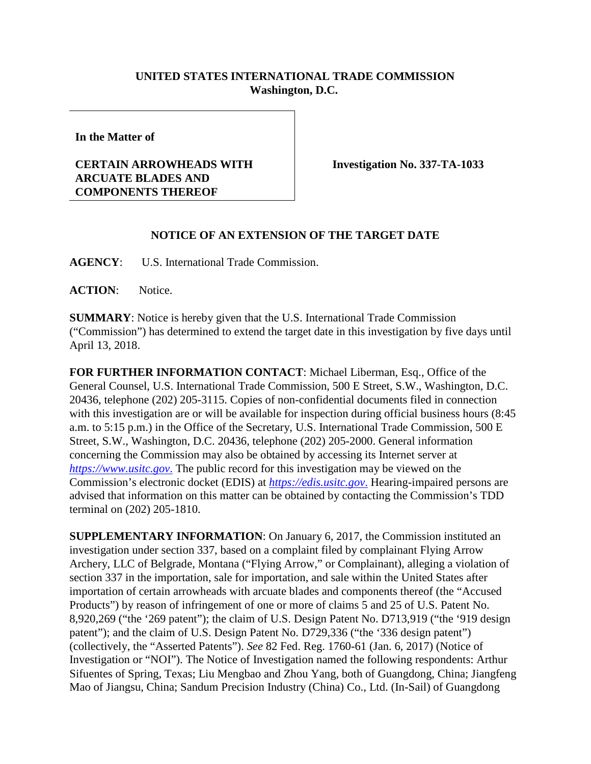## **UNITED STATES INTERNATIONAL TRADE COMMISSION Washington, D.C.**

**In the Matter of**

## **CERTAIN ARROWHEADS WITH ARCUATE BLADES AND COMPONENTS THEREOF**

**Investigation No. 337-TA-1033**

## **NOTICE OF AN EXTENSION OF THE TARGET DATE**

**AGENCY**: U.S. International Trade Commission.

**ACTION**: Notice.

**SUMMARY**: Notice is hereby given that the U.S. International Trade Commission ("Commission") has determined to extend the target date in this investigation by five days until April 13, 2018.

**FOR FURTHER INFORMATION CONTACT**: Michael Liberman, Esq., Office of the General Counsel, U.S. International Trade Commission, 500 E Street, S.W., Washington, D.C. 20436, telephone (202) 205-3115. Copies of non-confidential documents filed in connection with this investigation are or will be available for inspection during official business hours (8:45 a.m. to 5:15 p.m.) in the Office of the Secretary, U.S. International Trade Commission, 500 E Street, S.W., Washington, D.C. 20436, telephone (202) 205-2000. General information concerning the Commission may also be obtained by accessing its Internet server at *[https://www.usitc.gov](https://www.usitc.gov./)*. The public record for this investigation may be viewed on the Commission's electronic docket (EDIS) at *[https://edis.usitc.gov](https://edis.usitc.gov./)*. Hearing-impaired persons are advised that information on this matter can be obtained by contacting the Commission's TDD terminal on (202) 205-1810.

**SUPPLEMENTARY INFORMATION**: On January 6, 2017, the Commission instituted an investigation under section 337, based on a complaint filed by complainant Flying Arrow Archery, LLC of Belgrade, Montana ("Flying Arrow," or Complainant), alleging a violation of section 337 in the importation, sale for importation, and sale within the United States after importation of certain arrowheads with arcuate blades and components thereof (the "Accused Products") by reason of infringement of one or more of claims 5 and 25 of U.S. Patent No. 8,920,269 ("the '269 patent"); the claim of U.S. Design Patent No. D713,919 ("the '919 design patent"); and the claim of U.S. Design Patent No. D729,336 ("the '336 design patent") (collectively, the "Asserted Patents"). *See* 82 Fed. Reg. 1760-61 (Jan. 6, 2017) (Notice of Investigation or "NOI"). The Notice of Investigation named the following respondents: Arthur Sifuentes of Spring, Texas; Liu Mengbao and Zhou Yang, both of Guangdong, China; Jiangfeng Mao of Jiangsu, China; Sandum Precision Industry (China) Co., Ltd. (In-Sail) of Guangdong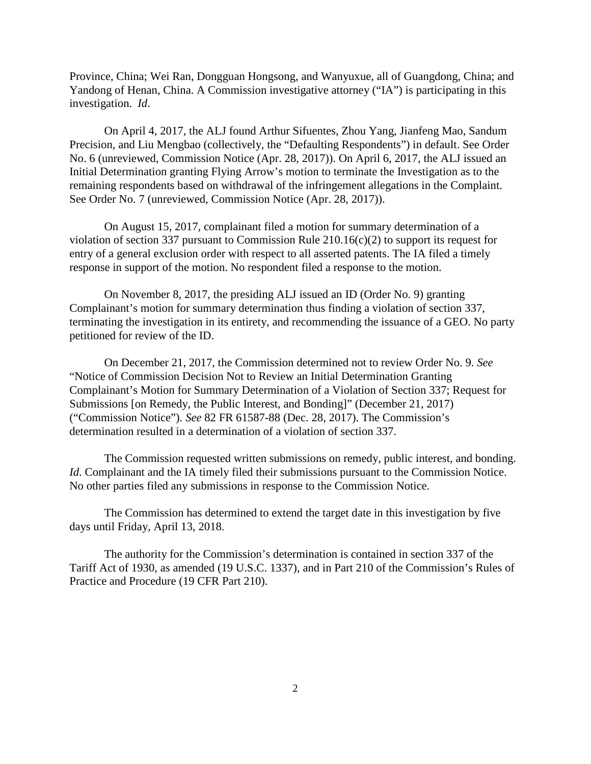Province, China; Wei Ran, Dongguan Hongsong, and Wanyuxue, all of Guangdong, China; and Yandong of Henan, China. A Commission investigative attorney ("IA") is participating in this investigation. *Id*.

On April 4, 2017, the ALJ found Arthur Sifuentes, Zhou Yang, Jianfeng Mao, Sandum Precision, and Liu Mengbao (collectively, the "Defaulting Respondents") in default. See Order No. 6 (unreviewed, Commission Notice (Apr. 28, 2017)). On April 6, 2017, the ALJ issued an Initial Determination granting Flying Arrow's motion to terminate the Investigation as to the remaining respondents based on withdrawal of the infringement allegations in the Complaint. See Order No. 7 (unreviewed, Commission Notice (Apr. 28, 2017)).

On August 15, 2017, complainant filed a motion for summary determination of a violation of section 337 pursuant to Commission Rule 210.16(c)(2) to support its request for entry of a general exclusion order with respect to all asserted patents. The IA filed a timely response in support of the motion. No respondent filed a response to the motion.

On November 8, 2017, the presiding ALJ issued an ID (Order No. 9) granting Complainant's motion for summary determination thus finding a violation of section 337, terminating the investigation in its entirety, and recommending the issuance of a GEO. No party petitioned for review of the ID.

On December 21, 2017, the Commission determined not to review Order No. 9. *See*  "Notice of Commission Decision Not to Review an Initial Determination Granting Complainant's Motion for Summary Determination of a Violation of Section 337; Request for Submissions [on Remedy, the Public Interest, and Bonding]" (December 21, 2017) ("Commission Notice"). *See* 82 FR 61587-88 (Dec. 28, 2017). The Commission's determination resulted in a determination of a violation of section 337.

The Commission requested written submissions on remedy, public interest, and bonding. *Id*. Complainant and the IA timely filed their submissions pursuant to the Commission Notice. No other parties filed any submissions in response to the Commission Notice.

The Commission has determined to extend the target date in this investigation by five days until Friday, April 13, 2018.

The authority for the Commission's determination is contained in section 337 of the Tariff Act of 1930, as amended (19 U.S.C. 1337), and in Part 210 of the Commission's Rules of Practice and Procedure (19 CFR Part 210).